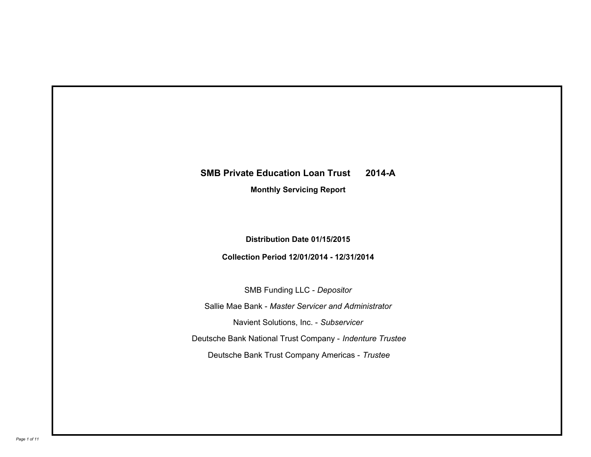# **SMB Private Education Loan Trust 2014-A**

**Monthly Servicing Report**

**Distribution Date 01/15/2015**

**Collection Period 12/01/2014 - 12/31/2014**

SMB Funding LLC - *Depositor* Sallie Mae Bank - *Master Servicer and Administrator* Deutsche Bank National Trust Company - *Indenture Trustee* Deutsche Bank Trust Company Americas - *Trustee* Navient Solutions, Inc. - *Subservicer*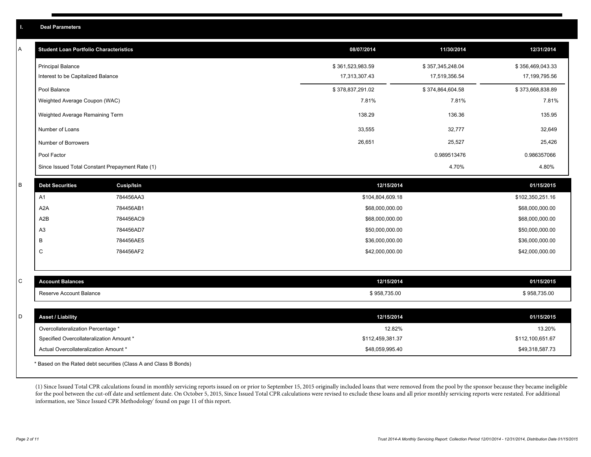|   | <b>Deal Parameters</b>                                                            |                   |                                     |                  |                                     |
|---|-----------------------------------------------------------------------------------|-------------------|-------------------------------------|------------------|-------------------------------------|
| A | <b>Student Loan Portfolio Characteristics</b>                                     |                   | 08/07/2014                          | 11/30/2014       | 12/31/2014                          |
|   | <b>Principal Balance</b>                                                          |                   | \$361,523,983.59                    | \$357,345,248.04 | \$356,469,043.33                    |
|   | Interest to be Capitalized Balance                                                |                   | 17,313,307.43                       | 17,519,356.54    | 17,199,795.56                       |
|   | Pool Balance                                                                      |                   | \$378,837,291.02                    | \$374,864,604.58 | \$373,668,838.89                    |
|   | Weighted Average Coupon (WAC)                                                     |                   | 7.81%                               | 7.81%            | 7.81%                               |
|   | Weighted Average Remaining Term                                                   |                   | 138.29                              | 136.36           | 135.95                              |
|   | Number of Loans                                                                   |                   | 33,555                              | 32,777           | 32,649                              |
|   | Number of Borrowers                                                               |                   | 26,651                              | 25,527           | 25,426                              |
|   | Pool Factor                                                                       |                   |                                     | 0.989513476      | 0.986357066                         |
|   | Since Issued Total Constant Prepayment Rate (1)                                   |                   |                                     | 4.70%            | 4.80%                               |
| B | <b>Debt Securities</b>                                                            | <b>Cusip/Isin</b> | 12/15/2014                          |                  | 01/15/2015                          |
|   | A1                                                                                | 784456AA3         | \$104,804,609.18                    |                  | \$102,350,251.16                    |
|   | A2A                                                                               | 784456AB1         | \$68,000,000.00                     |                  | \$68,000,000.00                     |
|   | A2B                                                                               | 784456AC9         | \$68,000,000.00                     |                  | \$68,000,000.00                     |
|   | A <sub>3</sub>                                                                    | 784456AD7         | \$50,000,000.00                     |                  | \$50,000,000.00                     |
|   | В                                                                                 | 784456AE5         | \$36,000,000.00                     |                  | \$36,000,000.00                     |
|   | $\mathsf{C}$                                                                      | 784456AF2         | \$42,000,000.00                     |                  | \$42,000,000.00                     |
|   |                                                                                   |                   |                                     |                  |                                     |
| С | <b>Account Balances</b>                                                           |                   | 12/15/2014                          |                  | 01/15/2015                          |
|   | Reserve Account Balance                                                           |                   | \$958,735.00                        |                  | \$958,735.00                        |
|   |                                                                                   |                   |                                     |                  |                                     |
| D | <b>Asset / Liability</b>                                                          |                   | 12/15/2014                          |                  | 01/15/2015                          |
|   | Overcollateralization Percentage *                                                |                   | 12.82%                              |                  | 13.20%                              |
|   | Specified Overcollateralization Amount *<br>Actual Overcollateralization Amount * |                   | \$112,459,381.37<br>\$48,059,995.40 |                  | \$112,100,651.67<br>\$49,318,587.73 |
|   |                                                                                   |                   |                                     |                  |                                     |

\* Based on the Rated debt securities (Class A and Class B Bonds)

(1) Since Issued Total CPR calculations found in monthly servicing reports issued on or prior to September 15, 2015 originally included loans that were removed from the pool by the sponsor because they became ineligible for the pool between the cut-off date and settlement date. On October 5, 2015, Since Issued Total CPR calculations were revised to exclude these loans and all prior monthly servicing reports were restated. For additional information, see 'Since Issued CPR Methodology' found on page 11 of this report.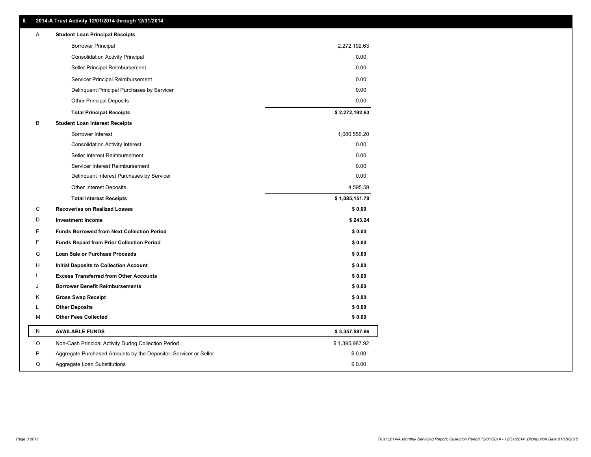| Ш. | 2014-A Trust Activity 12/01/2014 through 12/31/2014              |                |
|----|------------------------------------------------------------------|----------------|
| A  | <b>Student Loan Principal Receipts</b>                           |                |
|    | <b>Borrower Principal</b>                                        | 2,272,192.63   |
|    | <b>Consolidation Activity Principal</b>                          | 0.00           |
|    | Seller Principal Reimbursement                                   | 0.00           |
|    | Servicer Principal Reimbursement                                 | 0.00           |
|    | Delinquent Principal Purchases by Servicer                       | 0.00           |
|    | <b>Other Principal Deposits</b>                                  | 0.00           |
|    | <b>Total Principal Receipts</b>                                  | \$2,272,192.63 |
| В  | <b>Student Loan Interest Receipts</b>                            |                |
|    | Borrower Interest                                                | 1,080,556.20   |
|    | <b>Consolidation Activity Interest</b>                           | 0.00           |
|    | Seller Interest Reimbursement                                    | 0.00           |
|    | Servicer Interest Reimbursement                                  | 0.00           |
|    | Delinquent Interest Purchases by Servicer                        | 0.00           |
|    | <b>Other Interest Deposits</b>                                   | 4,595.59       |
|    | <b>Total Interest Receipts</b>                                   | \$1,085,151.79 |
| С  | <b>Recoveries on Realized Losses</b>                             | \$0.00         |
| D  | <b>Investment Income</b>                                         | \$243.24       |
| Е  | <b>Funds Borrowed from Next Collection Period</b>                | \$0.00         |
| F  | <b>Funds Repaid from Prior Collection Period</b>                 | \$0.00         |
| G  | Loan Sale or Purchase Proceeds                                   | \$0.00         |
| н  | <b>Initial Deposits to Collection Account</b>                    | \$0.00         |
|    | <b>Excess Transferred from Other Accounts</b>                    | \$0.00         |
| J  | <b>Borrower Benefit Reimbursements</b>                           | \$0.00         |
| κ  | <b>Gross Swap Receipt</b>                                        | \$0.00         |
| L  | <b>Other Deposits</b>                                            | \$0.00         |
| М  | <b>Other Fees Collected</b>                                      | \$0.00         |
| Ν  | <b>AVAILABLE FUNDS</b>                                           | \$3,357,587.66 |
| O  | Non-Cash Principal Activity During Collection Period             | \$1,395,987.92 |
| P  | Aggregate Purchased Amounts by the Depositor, Servicer or Seller | \$0.00         |
| Q  | Aggregate Loan Substitutions                                     | \$0.00         |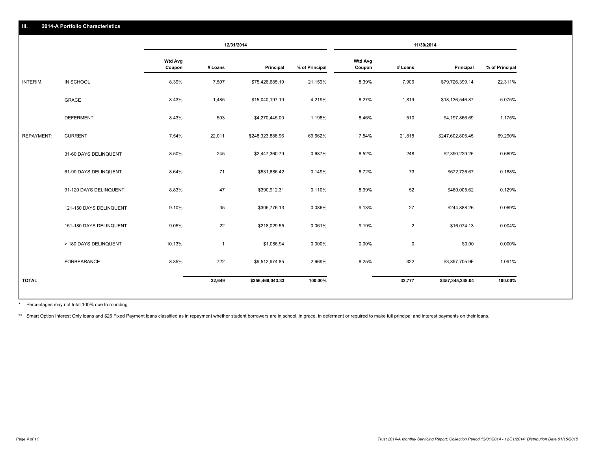| 2014-A Portfolio Characteristics<br>III. |                         |                          |                |                  |                |                          |                |                  |                |
|------------------------------------------|-------------------------|--------------------------|----------------|------------------|----------------|--------------------------|----------------|------------------|----------------|
|                                          |                         |                          | 12/31/2014     |                  | 11/30/2014     |                          |                |                  |                |
|                                          |                         | <b>Wtd Avg</b><br>Coupon | # Loans        | Principal        | % of Principal | <b>Wtd Avg</b><br>Coupon | # Loans        | Principal        | % of Principal |
| INTERIM:                                 | IN SCHOOL               | 8.39%                    | 7,507          | \$75,426,685.19  | 21.159%        | 8.39%                    | 7,906          | \$79,726,399.14  | 22.311%        |
|                                          | <b>GRACE</b>            | 8.43%                    | 1,485          | \$15,040,197.19  | 4.219%         | 8.27%                    | 1,819          | \$18,136,546.87  | 5.075%         |
|                                          | <b>DEFERMENT</b>        | 8.43%                    | 503            | \$4,270,445.00   | 1.198%         | 8.46%                    | 510            | \$4,197,866.69   | 1.175%         |
| <b>REPAYMENT:</b>                        | <b>CURRENT</b>          | 7.54%                    | 22,011         | \$248,323,888.96 | 69.662%        | 7.54%                    | 21,818         | \$247,602,805.45 | 69.290%        |
|                                          | 31-60 DAYS DELINQUENT   | 8.50%                    | 245            | \$2,447,360.79   | 0.687%         | 8.52%                    | 248            | \$2,390,229.25   | 0.669%         |
|                                          | 61-90 DAYS DELINQUENT   | 8.64%                    | 71             | \$531,686.42     | 0.149%         | 8.72%                    | 73             | \$672,726.67     | 0.188%         |
|                                          | 91-120 DAYS DELINQUENT  | 8.83%                    | 47             | \$390,912.31     | 0.110%         | 8.99%                    | 52             | \$460,005.62     | 0.129%         |
|                                          | 121-150 DAYS DELINQUENT | 9.10%                    | 35             | \$305,776.13     | 0.086%         | 9.13%                    | 27             | \$244,888.26     | 0.069%         |
|                                          | 151-180 DAYS DELINQUENT | 9.05%                    | 22             | \$218,029.55     | 0.061%         | 9.19%                    | $\overline{2}$ | \$16,074.13      | 0.004%         |
|                                          | > 180 DAYS DELINQUENT   | 10.13%                   | $\overline{1}$ | \$1,086.94       | 0.000%         | $0.00\%$                 | $\mathbf 0$    | \$0.00           | 0.000%         |
|                                          | FORBEARANCE             | 8.35%                    | 722            | \$9,512,974.85   | 2.669%         | 8.25%                    | 322            | \$3,897,705.96   | 1.091%         |
| <b>TOTAL</b>                             |                         |                          | 32,649         | \$356,469,043.33 | 100.00%        |                          | 32,777         | \$357,345,248.04 | 100.00%        |

Percentages may not total 100% due to rounding \*

\*\* Smart Option Interest Only loans and \$25 Fixed Payment loans classified as in repayment whether student borrowers are in school, in grace, in deferment or required to make full principal and interest payments on their l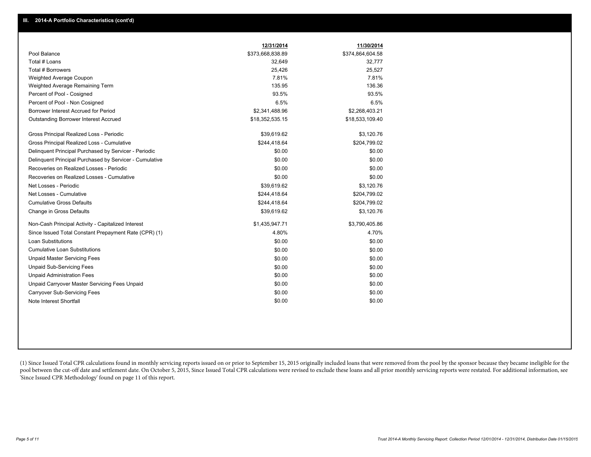|                                                         | 12/31/2014       | 11/30/2014       |
|---------------------------------------------------------|------------------|------------------|
| Pool Balance                                            | \$373,668,838.89 | \$374,864,604.58 |
| Total # Loans                                           | 32,649           | 32,777           |
| Total # Borrowers                                       | 25,426           | 25,527           |
| Weighted Average Coupon                                 | 7.81%            | 7.81%            |
| Weighted Average Remaining Term                         | 135.95           | 136.36           |
| Percent of Pool - Cosigned                              | 93.5%            | 93.5%            |
| Percent of Pool - Non Cosigned                          | 6.5%             | 6.5%             |
| Borrower Interest Accrued for Period                    | \$2,341,488.96   | \$2,268,403.21   |
| <b>Outstanding Borrower Interest Accrued</b>            | \$18,352,535.15  | \$18,533,109.40  |
| Gross Principal Realized Loss - Periodic                | \$39,619.62      | \$3,120.76       |
| Gross Principal Realized Loss - Cumulative              | \$244,418.64     | \$204,799.02     |
| Delinguent Principal Purchased by Servicer - Periodic   | \$0.00           | \$0.00           |
| Delinquent Principal Purchased by Servicer - Cumulative | \$0.00           | \$0.00           |
| Recoveries on Realized Losses - Periodic                | \$0.00           | \$0.00           |
| Recoveries on Realized Losses - Cumulative              | \$0.00           | \$0.00           |
| Net Losses - Periodic                                   | \$39,619.62      | \$3,120.76       |
| Net Losses - Cumulative                                 | \$244,418.64     | \$204,799.02     |
| <b>Cumulative Gross Defaults</b>                        | \$244,418.64     | \$204,799.02     |
| Change in Gross Defaults                                | \$39,619.62      | \$3,120.76       |
| Non-Cash Principal Activity - Capitalized Interest      | \$1,435,947.71   | \$3,790,405.86   |
| Since Issued Total Constant Prepayment Rate (CPR) (1)   | 4.80%            | 4.70%            |
| Loan Substitutions                                      | \$0.00           | \$0.00           |
| <b>Cumulative Loan Substitutions</b>                    | \$0.00           | \$0.00           |
| <b>Unpaid Master Servicing Fees</b>                     | \$0.00           | \$0.00           |
| <b>Unpaid Sub-Servicing Fees</b>                        | \$0.00           | \$0.00           |
| <b>Unpaid Administration Fees</b>                       | \$0.00           | \$0.00           |
| Unpaid Carryover Master Servicing Fees Unpaid           | \$0.00           | \$0.00           |
| <b>Carryover Sub-Servicing Fees</b>                     | \$0.00           | \$0.00           |
| Note Interest Shortfall                                 | \$0.00           | \$0.00           |

(1) Since Issued Total CPR calculations found in monthly servicing reports issued on or prior to September 15, 2015 originally included loans that were removed from the pool by the sponsor because they became ineligible fo pool between the cut-off date and settlement date. On October 5, 2015, Since Issued Total CPR calculations were revised to exclude these loans and all prior monthly servicing reports were restated. For additional informati 'Since Issued CPR Methodology' found on page 11 of this report.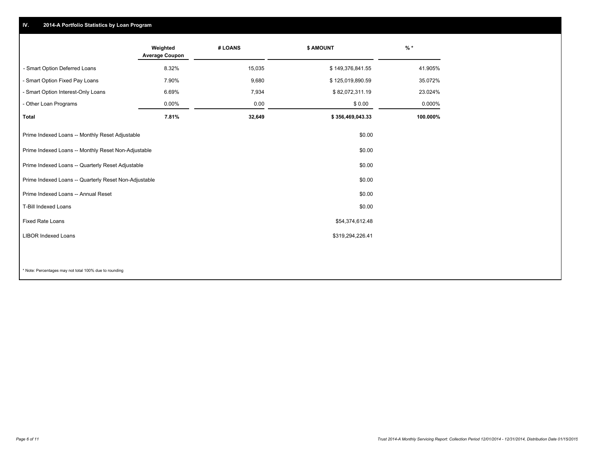#### **IV. 2014-A Portfolio Statistics by Loan Program**

|                                                       | Weighted<br><b>Average Coupon</b> | # LOANS | <b>\$ AMOUNT</b> | $\frac{9}{6}$ * |
|-------------------------------------------------------|-----------------------------------|---------|------------------|-----------------|
| - Smart Option Deferred Loans                         | 8.32%                             | 15,035  | \$149,376,841.55 | 41.905%         |
| - Smart Option Fixed Pay Loans                        | 7.90%                             | 9,680   | \$125,019,890.59 | 35.072%         |
| - Smart Option Interest-Only Loans                    | 6.69%                             | 7,934   | \$82,072,311.19  | 23.024%         |
| - Other Loan Programs                                 | 0.00%                             | 0.00    | \$0.00           | 0.000%          |
| <b>Total</b>                                          | 7.81%                             | 32,649  | \$356,469,043.33 | 100.000%        |
| Prime Indexed Loans -- Monthly Reset Adjustable       |                                   |         | \$0.00           |                 |
| Prime Indexed Loans -- Monthly Reset Non-Adjustable   |                                   |         | \$0.00           |                 |
| Prime Indexed Loans -- Quarterly Reset Adjustable     |                                   |         | \$0.00           |                 |
| Prime Indexed Loans -- Quarterly Reset Non-Adjustable |                                   |         | \$0.00           |                 |
| Prime Indexed Loans -- Annual Reset                   |                                   |         | \$0.00           |                 |
| <b>T-Bill Indexed Loans</b>                           |                                   |         | \$0.00           |                 |
| <b>Fixed Rate Loans</b>                               |                                   |         | \$54,374,612.48  |                 |
| <b>LIBOR Indexed Loans</b>                            |                                   |         | \$319,294,226.41 |                 |
|                                                       |                                   |         |                  |                 |

\* Note: Percentages may not total 100% due to rounding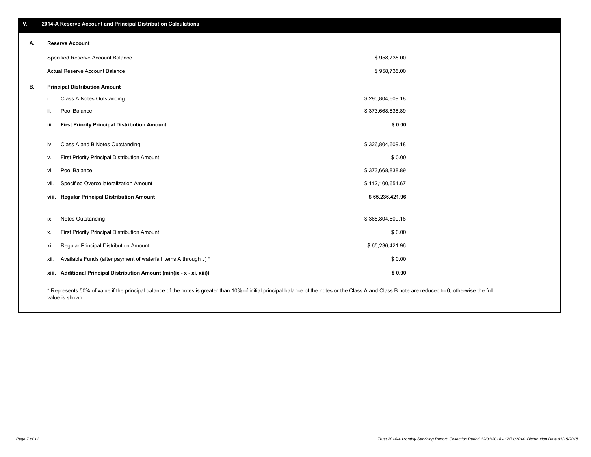|    | Specified Reserve Account Balance                                                                                                                                                                  |                                                                         | \$958,735.00     |  |  |
|----|----------------------------------------------------------------------------------------------------------------------------------------------------------------------------------------------------|-------------------------------------------------------------------------|------------------|--|--|
|    |                                                                                                                                                                                                    | Actual Reserve Account Balance                                          | \$958,735.00     |  |  |
| В. |                                                                                                                                                                                                    | <b>Principal Distribution Amount</b>                                    |                  |  |  |
|    | ı.                                                                                                                                                                                                 | Class A Notes Outstanding                                               | \$290,804,609.18 |  |  |
|    | ii.                                                                                                                                                                                                | Pool Balance                                                            | \$373,668,838.89 |  |  |
|    | iii.                                                                                                                                                                                               | <b>First Priority Principal Distribution Amount</b>                     | \$0.00           |  |  |
|    |                                                                                                                                                                                                    |                                                                         |                  |  |  |
|    | iv.                                                                                                                                                                                                | Class A and B Notes Outstanding                                         | \$326,804,609.18 |  |  |
|    | v.                                                                                                                                                                                                 | First Priority Principal Distribution Amount                            | \$0.00           |  |  |
|    | VI.                                                                                                                                                                                                | Pool Balance                                                            | \$373,668,838.89 |  |  |
|    | Vİİ.                                                                                                                                                                                               | Specified Overcollateralization Amount                                  | \$112,100,651.67 |  |  |
|    | viii.                                                                                                                                                                                              | <b>Regular Principal Distribution Amount</b>                            | \$65,236,421.96  |  |  |
|    |                                                                                                                                                                                                    |                                                                         |                  |  |  |
|    | ix.                                                                                                                                                                                                | Notes Outstanding                                                       | \$368,804,609.18 |  |  |
|    | х.                                                                                                                                                                                                 | First Priority Principal Distribution Amount                            | \$0.00           |  |  |
|    | xi.                                                                                                                                                                                                | Regular Principal Distribution Amount                                   | \$65,236,421.96  |  |  |
|    | XII.                                                                                                                                                                                               | Available Funds (after payment of waterfall items A through J) *        | \$0.00           |  |  |
|    |                                                                                                                                                                                                    | xiii. Additional Principal Distribution Amount (min(ix - x - xi, xiii)) | \$0.00           |  |  |
|    | * Represents 50% of value if the principal balance of the notes is greater than 10% of initial principal balance of the notes or the Class A and Class B note are reduced to 0, otherwise the full |                                                                         |                  |  |  |

## **V. 2014-A Reserve Account and Principal Distribution Calculations**

**A. Reserve Account**

value is shown.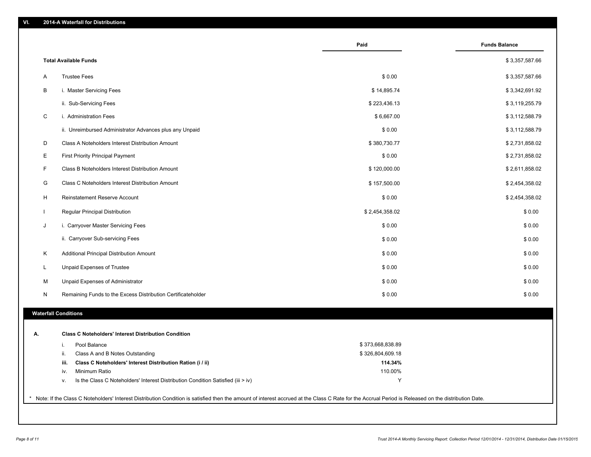|    |                                                                                        | Paid             | <b>Funds Balance</b> |
|----|----------------------------------------------------------------------------------------|------------------|----------------------|
|    | <b>Total Available Funds</b>                                                           |                  | \$3,357,587.66       |
| Α  | <b>Trustee Fees</b>                                                                    | \$0.00           | \$3,357,587.66       |
| В  | i. Master Servicing Fees                                                               | \$14,895.74      | \$3,342,691.92       |
|    | ii. Sub-Servicing Fees                                                                 | \$223,436.13     | \$3,119,255.79       |
| С  | i. Administration Fees                                                                 | \$6,667.00       | \$3,112,588.79       |
|    | ii. Unreimbursed Administrator Advances plus any Unpaid                                | \$0.00           | \$3,112,588.79       |
| D  | Class A Noteholders Interest Distribution Amount                                       | \$380,730.77     | \$2,731,858.02       |
| E  | First Priority Principal Payment                                                       | \$0.00           | \$2,731,858.02       |
| F  | Class B Noteholders Interest Distribution Amount                                       | \$120,000.00     | \$2,611,858.02       |
| G  | Class C Noteholders Interest Distribution Amount                                       | \$157,500.00     | \$2,454,358.02       |
| H  | Reinstatement Reserve Account                                                          | \$0.00           | \$2,454,358.02       |
|    | Regular Principal Distribution                                                         | \$2,454,358.02   | \$0.00               |
| J  | i. Carryover Master Servicing Fees                                                     | \$0.00           | \$0.00               |
|    | ii. Carryover Sub-servicing Fees                                                       | \$0.00           | \$0.00               |
| Κ  | Additional Principal Distribution Amount                                               | \$0.00           | \$0.00               |
| L  | Unpaid Expenses of Trustee                                                             | \$0.00           | \$0.00               |
| М  | Unpaid Expenses of Administrator                                                       | \$0.00           | \$0.00               |
| N  | Remaining Funds to the Excess Distribution Certificateholder                           | \$0.00           | \$0.00               |
|    | <b>Waterfall Conditions</b>                                                            |                  |                      |
|    |                                                                                        |                  |                      |
| А. | <b>Class C Noteholders' Interest Distribution Condition</b>                            |                  |                      |
|    | Pool Balance<br>i.                                                                     | \$373,668,838.89 |                      |
|    | Class A and B Notes Outstanding<br>ii.                                                 | \$326,804,609.18 |                      |
|    | Class C Noteholders' Interest Distribution Ration (i / ii)<br>iii.                     | 114.34%          |                      |
|    | Minimum Ratio<br>iv.                                                                   | 110.00%          |                      |
|    | Is the Class C Noteholders' Interest Distribution Condition Satisfied (iii > iv)<br>٧. | Y                |                      |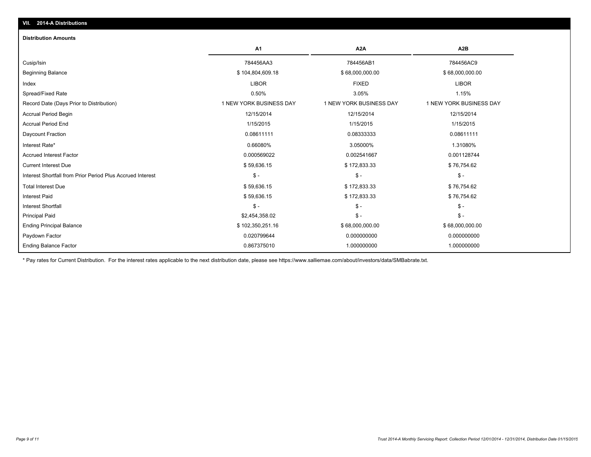| <b>Distribution Amounts</b>                                |                         |                         |                         |
|------------------------------------------------------------|-------------------------|-------------------------|-------------------------|
|                                                            | <b>A1</b>               | A <sub>2</sub> A        | A <sub>2</sub> B        |
| Cusip/Isin                                                 | 784456AA3               | 784456AB1               | 784456AC9               |
| <b>Beginning Balance</b>                                   | \$104,804,609.18        | \$68,000,000.00         | \$68,000,000.00         |
| Index                                                      | <b>LIBOR</b>            | <b>FIXED</b>            | <b>LIBOR</b>            |
| Spread/Fixed Rate                                          | 0.50%                   | 3.05%                   | 1.15%                   |
| Record Date (Days Prior to Distribution)                   | 1 NEW YORK BUSINESS DAY | 1 NEW YORK BUSINESS DAY | 1 NEW YORK BUSINESS DAY |
| <b>Accrual Period Begin</b>                                | 12/15/2014              | 12/15/2014              | 12/15/2014              |
| <b>Accrual Period End</b>                                  | 1/15/2015               | 1/15/2015               | 1/15/2015               |
| Daycount Fraction                                          | 0.08611111              | 0.08333333              | 0.08611111              |
| Interest Rate*                                             | 0.66080%                | 3.05000%                | 1.31080%                |
| <b>Accrued Interest Factor</b>                             | 0.000569022             | 0.002541667             | 0.001128744             |
| <b>Current Interest Due</b>                                | \$59,636.15             | \$172,833.33            | \$76,754.62             |
| Interest Shortfall from Prior Period Plus Accrued Interest | $\frac{2}{3}$ -         | $\mathsf{\$}$ -         | $\frac{2}{3}$ -         |
| <b>Total Interest Due</b>                                  | \$59,636.15             | \$172,833.33            | \$76,754.62             |
| <b>Interest Paid</b>                                       | \$59,636.15             | \$172,833.33            | \$76,754.62             |
| <b>Interest Shortfall</b>                                  | $S -$                   | $\mathsf{\$}$ -         | $$ -$                   |
| <b>Principal Paid</b>                                      | \$2,454,358.02          | $\mathsf{\$}$ -         | $S -$                   |
| <b>Ending Principal Balance</b>                            | \$102,350,251.16        | \$68,000,000.00         | \$68,000,000.00         |
| Paydown Factor                                             | 0.020799644             | 0.000000000             | 0.000000000             |
| <b>Ending Balance Factor</b>                               | 0.867375010             | 1.000000000             | 1.000000000             |

\* Pay rates for Current Distribution. For the interest rates applicable to the next distribution date, please see https://www.salliemae.com/about/investors/data/SMBabrate.txt.

**VII. 2014-A Distributions**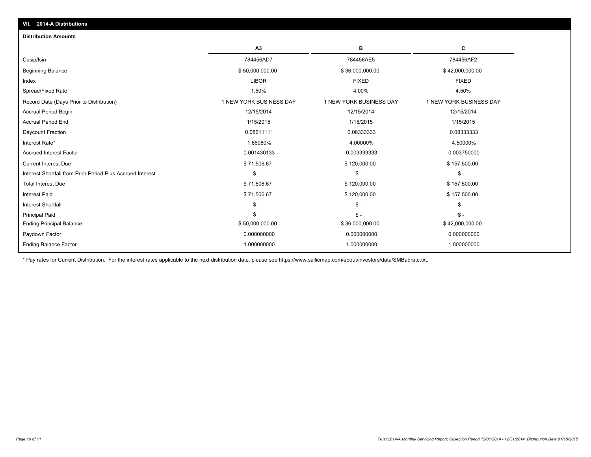| 201777200000000                                            |                         |                         |                         |
|------------------------------------------------------------|-------------------------|-------------------------|-------------------------|
| <b>Distribution Amounts</b>                                |                         |                         |                         |
|                                                            | A3                      | в                       | c                       |
| Cusip/Isin                                                 | 784456AD7               | 784456AE5               | 784456AF2               |
| <b>Beginning Balance</b>                                   | \$50,000,000.00         | \$36,000,000.00         | \$42,000,000.00         |
| Index                                                      | <b>LIBOR</b>            | <b>FIXED</b>            | <b>FIXED</b>            |
| Spread/Fixed Rate                                          | 1.50%                   | 4.00%                   | 4.50%                   |
| Record Date (Days Prior to Distribution)                   | 1 NEW YORK BUSINESS DAY | 1 NEW YORK BUSINESS DAY | 1 NEW YORK BUSINESS DAY |
| <b>Accrual Period Begin</b>                                | 12/15/2014              | 12/15/2014              | 12/15/2014              |
| <b>Accrual Period End</b>                                  | 1/15/2015               | 1/15/2015               | 1/15/2015               |
| Daycount Fraction                                          | 0.08611111              | 0.08333333              | 0.08333333              |
| Interest Rate*                                             | 1.66080%                | 4.00000%                | 4.50000%                |
| <b>Accrued Interest Factor</b>                             | 0.001430133             | 0.003333333             | 0.003750000             |
| <b>Current Interest Due</b>                                | \$71,506.67             | \$120,000.00            | \$157,500.00            |
| Interest Shortfall from Prior Period Plus Accrued Interest | $S -$                   | $S -$                   | $\mathsf{\$}$ -         |
| <b>Total Interest Due</b>                                  | \$71,506.67             | \$120,000.00            | \$157,500.00            |
| <b>Interest Paid</b>                                       | \$71,506.67             | \$120,000.00            | \$157,500.00            |
| <b>Interest Shortfall</b>                                  | $\mathsf{\$}$ -         | $S -$                   | $\mathsf{\$}$ -         |
| <b>Principal Paid</b>                                      | $S -$                   | $S -$                   | $S -$                   |
| <b>Ending Principal Balance</b>                            | \$50,000,000.00         | \$36,000,000.00         | \$42,000,000.00         |
| Paydown Factor                                             | 0.000000000             | 0.000000000             | 0.000000000             |
| <b>Ending Balance Factor</b>                               | 1.000000000             | 1.000000000             | 1.000000000             |

\* Pay rates for Current Distribution. For the interest rates applicable to the next distribution date, please see https://www.salliemae.com/about/investors/data/SMBabrate.txt.

**VII. 2014-A Distributions**